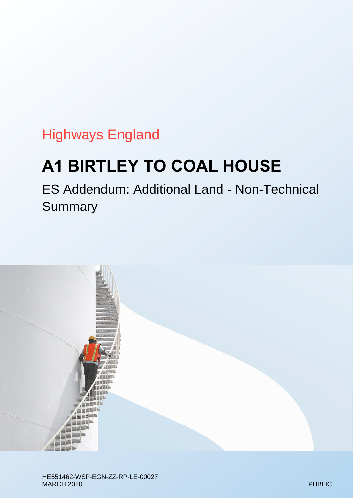Highways England

# **A1 BIRTLEY TO COAL HOUSE**

ES Addendum: Additional Land - Non-Technical **Summary** 

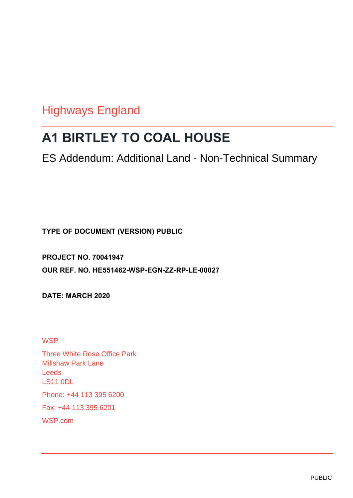# Highways England

# **A1 BIRTLEY TO COAL HOUSE**

ES Addendum: Additional Land - Non-Technical Summary

**TYPE OF DOCUMENT (VERSION) PUBLIC**

**PROJECT NO. 70041947 OUR REF. NO. HE551462-WSP-EGN-ZZ-RP-LE-00027**

**DATE: MARCH 2020**

**WSP** 

Three White Rose Office Park Millshaw Park Lane Leeds LS11 0DL Phone: +44 113 395 6200 Fax: +44 113 395 6201 WSP.com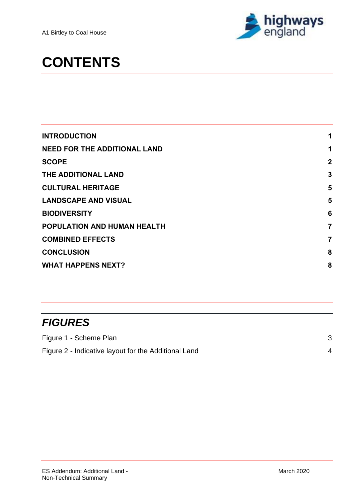

# **CONTENTS**

| <b>INTRODUCTION</b>                 | 1              |
|-------------------------------------|----------------|
| <b>NEED FOR THE ADDITIONAL LAND</b> | 1              |
| <b>SCOPE</b>                        | $\overline{2}$ |
| THE ADDITIONAL LAND                 | 3              |
| <b>CULTURAL HERITAGE</b>            | 5              |
| <b>LANDSCAPE AND VISUAL</b>         | 5              |
| <b>BIODIVERSITY</b>                 | 6              |
| POPULATION AND HUMAN HEALTH         | 7              |
| <b>COMBINED EFFECTS</b>             | 7              |
| <b>CONCLUSION</b>                   | 8              |
| <b>WHAT HAPPENS NEXT?</b>           | 8              |
|                                     |                |

# *FIGURES*

| Figure 1 - Scheme Plan                               |  |
|------------------------------------------------------|--|
| Figure 2 - Indicative layout for the Additional Land |  |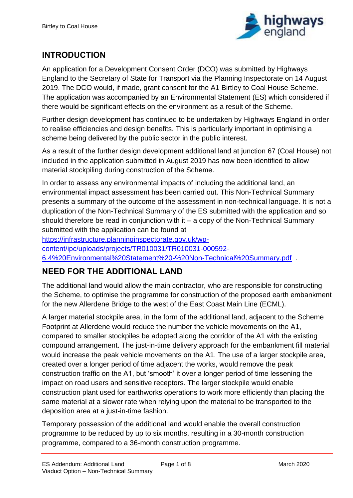

# <span id="page-3-0"></span>**INTRODUCTION**

An application for a Development Consent Order (DCO) was submitted by Highways England to the Secretary of State for Transport via the Planning Inspectorate on 14 August 2019. The DCO would, if made, grant consent for the A1 Birtley to Coal House Scheme. The application was accompanied by an Environmental Statement (ES) which considered if there would be significant effects on the environment as a result of the Scheme.

Further design development has continued to be undertaken by Highways England in order to realise efficiencies and design benefits. This is particularly important in optimising a scheme being delivered by the public sector in the public interest.

As a result of the further design development additional land at junction 67 (Coal House) not included in the application submitted in August 2019 has now been identified to allow material stockpiling during construction of the Scheme.

In order to assess any environmental impacts of including the additional land, an environmental impact assessment has been carried out. This Non-Technical Summary presents a summary of the outcome of the assessment in non-technical language. It is not a duplication of the Non-Technical Summary of the ES submitted with the application and so should therefore be read in conjunction with it – a copy of the Non-Technical Summary submitted with the application can be found at

[https://infrastructure.planninginspectorate.gov.uk/wp](https://infrastructure.planninginspectorate.gov.uk/wp-content/ipc/uploads/projects/TR010031/TR010031-000592-6.4%20Environmental%20Statement%20-%20Non-Technical%20Summary.pdf)[content/ipc/uploads/projects/TR010031/TR010031-000592-](https://infrastructure.planninginspectorate.gov.uk/wp-content/ipc/uploads/projects/TR010031/TR010031-000592-6.4%20Environmental%20Statement%20-%20Non-Technical%20Summary.pdf) [6.4%20Environmental%20Statement%20-%20Non-Technical%20Summary.pdf](https://infrastructure.planninginspectorate.gov.uk/wp-content/ipc/uploads/projects/TR010031/TR010031-000592-6.4%20Environmental%20Statement%20-%20Non-Technical%20Summary.pdf) .

## <span id="page-3-1"></span>**NEED FOR THE ADDITIONAL LAND**

The additional land would allow the main contractor, who are responsible for constructing the Scheme, to optimise the programme for construction of the proposed earth embankment for the new Allerdene Bridge to the west of the East Coast Main Line (ECML).

A larger material stockpile area, in the form of the additional land, adjacent to the Scheme Footprint at Allerdene would reduce the number the vehicle movements on the A1, compared to smaller stockpiles be adopted along the corridor of the A1 with the existing compound arrangement. The just-in-time delivery approach for the embankment fill material would increase the peak vehicle movements on the A1. The use of a larger stockpile area, created over a longer period of time adjacent the works, would remove the peak construction traffic on the A1, but 'smooth' it over a longer period of time lessening the impact on road users and sensitive receptors. The larger stockpile would enable construction plant used for earthworks operations to work more efficiently than placing the same material at a slower rate when relying upon the material to be transported to the deposition area at a just-in-time fashion.

Temporary possession of the additional land would enable the overall construction programme to be reduced by up to six months, resulting in a 30-month construction programme, compared to a 36-month construction programme.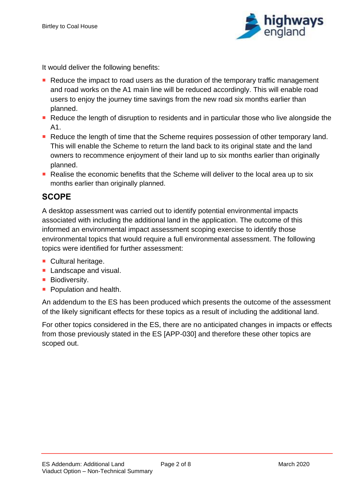

It would deliver the following benefits:

- Reduce the impact to road users as the duration of the temporary traffic management and road works on the A1 main line will be reduced accordingly. This will enable road users to enjoy the journey time savings from the new road six months earlier than planned.
- Reduce the length of disruption to residents and in particular those who live alongside the A1.
- Reduce the length of time that the Scheme requires possession of other temporary land. This will enable the Scheme to return the land back to its original state and the land owners to recommence enjoyment of their land up to six months earlier than originally planned.
- Realise the economic benefits that the Scheme will deliver to the local area up to six months earlier than originally planned.

### <span id="page-4-0"></span>**SCOPE**

A desktop assessment was carried out to identify potential environmental impacts associated with including the additional land in the application. The outcome of this informed an environmental impact assessment scoping exercise to identify those environmental topics that would require a full environmental assessment. The following topics were identified for further assessment:

- Cultural heritage.
- **Landscape and visual.**
- **Biodiversity.**
- **Population and health.**

An addendum to the ES has been produced which presents the outcome of the assessment of the likely significant effects for these topics as a result of including the additional land.

For other topics considered in the ES, there are no anticipated changes in impacts or effects from those previously stated in the ES [APP-030] and therefore these other topics are scoped out.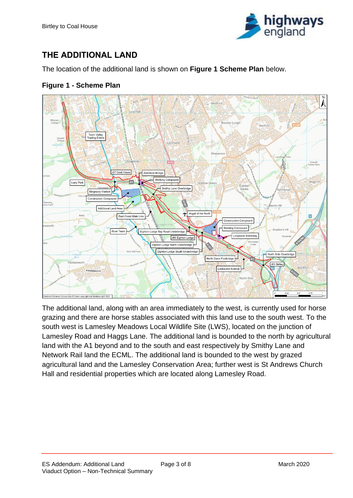<span id="page-5-1"></span>

# <span id="page-5-0"></span>**THE ADDITIONAL LAND**

The location of the additional land is shown on **Figure 1 Scheme Plan** below.

**Figure 1 - Scheme Plan**



The additional land, along with an area immediately to the west, is currently used for horse grazing and there are horse stables associated with this land use to the south west. To the south west is Lamesley Meadows Local Wildlife Site (LWS), located on the junction of Lamesley Road and Haggs Lane. The additional land is bounded to the north by agricultural land with the A1 beyond and to the south and east respectively by Smithy Lane and Network Rail land the ECML. The additional land is bounded to the west by grazed agricultural land and the Lamesley Conservation Area; further west is St Andrews Church Hall and residential properties which are located along Lamesley Road.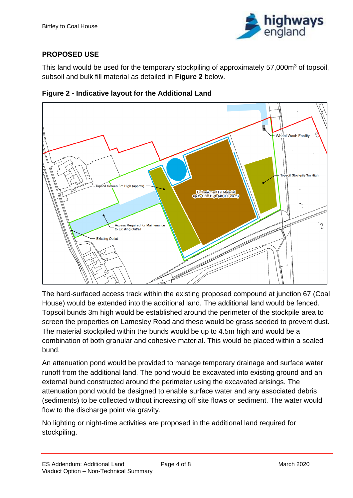<span id="page-6-0"></span>

#### **PROPOSED USE**

This land would be used for the temporary stockpiling of approximately 57,000m<sup>3</sup> of topsoil, subsoil and bulk fill material as detailed in **Figure 2** below.



**Figure 2 - Indicative layout for the Additional Land**

The hard-surfaced access track within the existing proposed compound at junction 67 (Coal House) would be extended into the additional land. The additional land would be fenced. Topsoil bunds 3m high would be established around the perimeter of the stockpile area to screen the properties on Lamesley Road and these would be grass seeded to prevent dust. The material stockpiled within the bunds would be up to 4.5m high and would be a combination of both granular and cohesive material. This would be placed within a sealed bund.

An attenuation pond would be provided to manage temporary drainage and surface water runoff from the additional land. The pond would be excavated into existing ground and an external bund constructed around the perimeter using the excavated arisings. The attenuation pond would be designed to enable surface water and any associated debris (sediments) to be collected without increasing off site flows or sediment. The water would flow to the discharge point via gravity.

No lighting or night-time activities are proposed in the additional land required for stockpiling.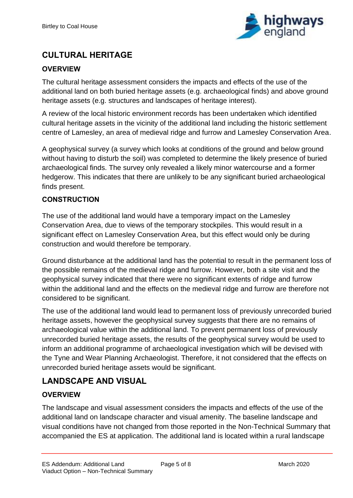

# <span id="page-7-0"></span>**CULTURAL HERITAGE**

#### **OVERVIEW**

The cultural heritage assessment considers the impacts and effects of the use of the additional land on both buried heritage assets (e.g. archaeological finds) and above ground heritage assets (e.g. structures and landscapes of heritage interest).

A review of the local historic environment records has been undertaken which identified cultural heritage assets in the vicinity of the additional land including the historic settlement centre of Lamesley, an area of medieval ridge and furrow and Lamesley Conservation Area.

A geophysical survey (a survey which looks at conditions of the ground and below ground without having to disturb the soil) was completed to determine the likely presence of buried archaeological finds. The survey only revealed a likely minor watercourse and a former hedgerow. This indicates that there are unlikely to be any significant buried archaeological finds present.

#### **CONSTRUCTION**

The use of the additional land would have a temporary impact on the Lamesley Conservation Area, due to views of the temporary stockpiles. This would result in a significant effect on Lamesley Conservation Area, but this effect would only be during construction and would therefore be temporary.

Ground disturbance at the additional land has the potential to result in the permanent loss of the possible remains of the medieval ridge and furrow. However, both a site visit and the geophysical survey indicated that there were no significant extents of ridge and furrow within the additional land and the effects on the medieval ridge and furrow are therefore not considered to be significant.

The use of the additional land would lead to permanent loss of previously unrecorded buried heritage assets, however the geophysical survey suggests that there are no remains of archaeological value within the additional land. To prevent permanent loss of previously unrecorded buried heritage assets, the results of the geophysical survey would be used to inform an additional programme of archaeological investigation which will be devised with the Tyne and Wear Planning Archaeologist. Therefore, it not considered that the effects on unrecorded buried heritage assets would be significant.

### <span id="page-7-1"></span>**LANDSCAPE AND VISUAL**

#### **OVERVIEW**

The landscape and visual assessment considers the impacts and effects of the use of the additional land on landscape character and visual amenity. The baseline landscape and visual conditions have not changed from those reported in the Non-Technical Summary that accompanied the ES at application. The additional land is located within a rural landscape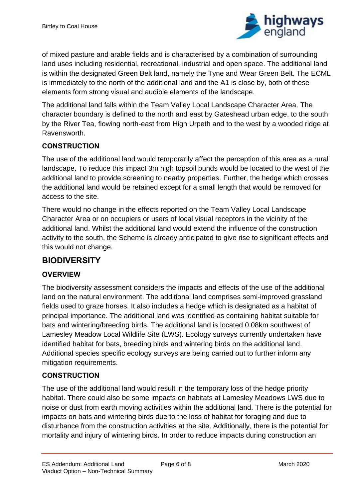

of mixed pasture and arable fields and is characterised by a combination of surrounding land uses including residential, recreational, industrial and open space. The additional land is within the designated Green Belt land, namely the Tyne and Wear Green Belt. The ECML is immediately to the north of the additional land and the A1 is close by, both of these elements form strong visual and audible elements of the landscape.

The additional land falls within the Team Valley Local Landscape Character Area. The character boundary is defined to the north and east by Gateshead urban edge, to the south by the River Tea, flowing north-east from High Urpeth and to the west by a wooded ridge at Ravensworth.

#### **CONSTRUCTION**

The use of the additional land would temporarily affect the perception of this area as a rural landscape. To reduce this impact 3m high topsoil bunds would be located to the west of the additional land to provide screening to nearby properties. Further, the hedge which crosses the additional land would be retained except for a small length that would be removed for access to the site.

There would no change in the effects reported on the Team Valley Local Landscape Character Area or on occupiers or users of local visual receptors in the vicinity of the additional land. Whilst the additional land would extend the influence of the construction activity to the south, the Scheme is already anticipated to give rise to significant effects and this would not change.

#### <span id="page-8-0"></span>**BIODIVERSITY**

#### **OVERVIEW**

The biodiversity assessment considers the impacts and effects of the use of the additional land on the natural environment. The additional land comprises semi-improved grassland fields used to graze horses. It also includes a hedge which is designated as a habitat of principal importance. The additional land was identified as containing habitat suitable for bats and wintering/breeding birds. The additional land is located 0.08km southwest of Lamesley Meadow Local Wildlife Site (LWS). Ecology surveys currently undertaken have identified habitat for bats, breeding birds and wintering birds on the additional land. Additional species specific ecology surveys are being carried out to further inform any mitigation requirements.

#### **CONSTRUCTION**

The use of the additional land would result in the temporary loss of the hedge priority habitat. There could also be some impacts on habitats at Lamesley Meadows LWS due to noise or dust from earth moving activities within the additional land. There is the potential for impacts on bats and wintering birds due to the loss of habitat for foraging and due to disturbance from the construction activities at the site. Additionally, there is the potential for mortality and injury of wintering birds. In order to reduce impacts during construction an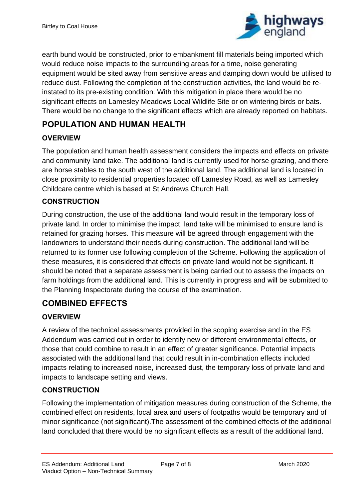

earth bund would be constructed, prior to embankment fill materials being imported which would reduce noise impacts to the surrounding areas for a time, noise generating equipment would be sited away from sensitive areas and damping down would be utilised to reduce dust. Following the completion of the construction activities, the land would be reinstated to its pre-existing condition. With this mitigation in place there would be no significant effects on Lamesley Meadows Local Wildlife Site or on wintering birds or bats. There would be no change to the significant effects which are already reported on habitats.

# <span id="page-9-0"></span>**POPULATION AND HUMAN HEALTH**

#### **OVERVIEW**

The population and human health assessment considers the impacts and effects on private and community land take. The additional land is currently used for horse grazing, and there are horse stables to the south west of the additional land. The additional land is located in close proximity to residential properties located off Lamesley Road, as well as Lamesley Childcare centre which is based at St Andrews Church Hall.

#### **CONSTRUCTION**

During construction, the use of the additional land would result in the temporary loss of private land. In order to minimise the impact, land take will be minimised to ensure land is retained for grazing horses. This measure will be agreed through engagement with the landowners to understand their needs during construction. The additional land will be returned to its former use following completion of the Scheme. Following the application of these measures, it is considered that effects on private land would not be significant. It should be noted that a separate assessment is being carried out to assess the impacts on farm holdings from the additional land. This is currently in progress and will be submitted to the Planning Inspectorate during the course of the examination.

## <span id="page-9-1"></span>**COMBINED EFFECTS**

#### **OVERVIEW**

A review of the technical assessments provided in the scoping exercise and in the ES Addendum was carried out in order to identify new or different environmental effects, or those that could combine to result in an effect of greater significance. Potential impacts associated with the additional land that could result in in-combination effects included impacts relating to increased noise, increased dust, the temporary loss of private land and impacts to landscape setting and views.

#### **CONSTRUCTION**

Following the implementation of mitigation measures during construction of the Scheme, the combined effect on residents, local area and users of footpaths would be temporary and of minor significance (not significant).The assessment of the combined effects of the additional land concluded that there would be no significant effects as a result of the additional land.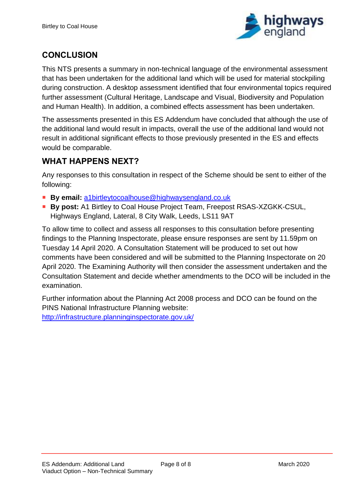

# <span id="page-10-0"></span>**CONCLUSION**

This NTS presents a summary in non-technical language of the environmental assessment that has been undertaken for the additional land which will be used for material stockpiling during construction. A desktop assessment identified that four environmental topics required further assessment (Cultural Heritage, Landscape and Visual, Biodiversity and Population and Human Health). In addition, a combined effects assessment has been undertaken.

The assessments presented in this ES Addendum have concluded that although the use of the additional land would result in impacts, overall the use of the additional land would not result in additional significant effects to those previously presented in the ES and effects would be comparable.

### <span id="page-10-1"></span>**WHAT HAPPENS NEXT?**

Any responses to this consultation in respect of the Scheme should be sent to either of the following:

- By email: [a1birtleytocoalhouse@highwaysengland.co.uk](mailto:a1birtleytocoalhouse@highwaysengland.co.uk)
- **By post:** A1 Birtley to Coal House Project Team, Freepost RSAS-XZGKK-CSUL, Highways England, Lateral, 8 City Walk, Leeds, LS11 9AT

To allow time to collect and assess all responses to this consultation before presenting findings to the Planning Inspectorate, please ensure responses are sent by 11.59pm on Tuesday 14 April 2020. A Consultation Statement will be produced to set out how comments have been considered and will be submitted to the Planning Inspectorate on 20 April 2020. The Examining Authority will then consider the assessment undertaken and the Consultation Statement and decide whether amendments to the DCO will be included in the examination.

Further information about the Planning Act 2008 process and DCO can be found on the PINS National Infrastructure Planning website: <http://infrastructure.planninginspectorate.gov.uk/>